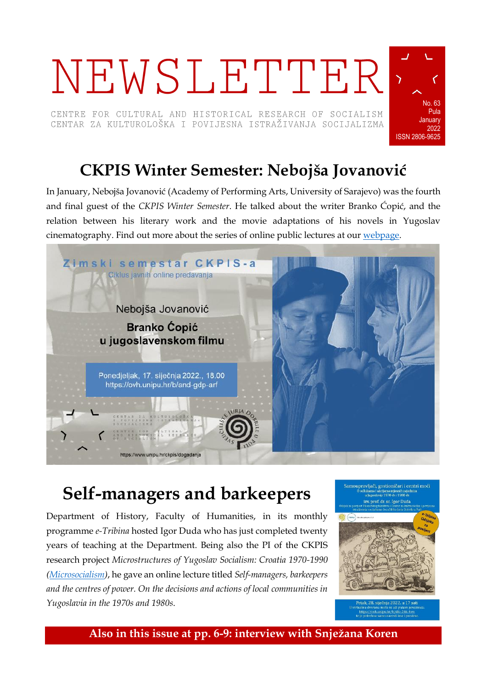# NEWSLETTER

CENTRE FOR CULTURAL AND HISTORICAL RESEARCH OF SOCIALISM CENTAR ZA KULTUROLOŠKA I POVIJESNA ISTRAŽIVANJA SOCIJALIZMA



# **CKPIS Winter Semester: Nebojša Jovanović**

In January, Nebojša Jovanović (Academy of Performing Arts, University of Sarajevo) was the fourth and final guest of the *CKPIS Winter Semester*. He talked about the writer Branko Ćopić, and the relation between his literary work and the movie adaptations of his novels in Yugoslav cinematography. Find out more about the series of online public lectures at our [webpage.](https://www.unipu.hr/ckpis/dogadanja)



# **Self-managers and barkeepers**

Department of History, Faculty of Humanities, in its monthly programme *e-Tribina* hosted Igor Duda who has just completed twenty years of teaching at the Department. Being also the PI of the CKPIS research project *Microstructures of Yugoslav Socialism: Croatia 1970-1990 [\(Microsocialism\)](https://www.unipu.hr/ckpis/en/projects/microsocialism)*, he gave an online lecture titled *Self-managers, barkeepers and the centres of power. On the decisions and actions of local communities in Yugoslavia in the 1970s and 1980s*.



**Also in this issue at pp. 6-9: interview with Snježana Koren**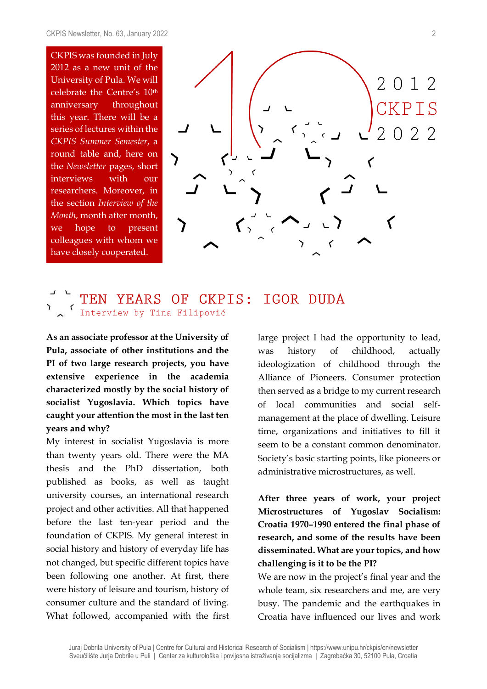CKPIS was founded in July 2012 as a new unit of the University of Pula. We will celebrate the Centre's 10th anniversary throughout this year. There will be a series of lectures within the *CKPIS Summer Semester*, a round table and, here on the *Newsletter* pages, short interviews with our researchers. Moreover, in the section *Interview of the Month*, month after month, we hope to present colleagues with whom we have closely cooperated.



#### YEARS OF CKPIS: IGOR DUDA TEN Interview by Tina Filipović

**As an associate professor at the University of Pula, associate of other institutions and the PI of two large research projects, you have extensive experience in the academia characterized mostly by the social history of socialist Yugoslavia. Which topics have caught your attention the most in the last ten years and why?**

My interest in socialist Yugoslavia is more than twenty years old. There were the MA thesis and the PhD dissertation, both published as books, as well as taught university courses, an international research project and other activities. All that happened before the last ten-year period and the foundation of CKPIS. My general interest in social history and history of everyday life has not changed, but specific different topics have been following one another. At first, there were history of leisure and tourism, history of consumer culture and the standard of living. What followed, accompanied with the first large project I had the opportunity to lead, was history of childhood, actually ideologization of childhood through the Alliance of Pioneers. Consumer protection then served as a bridge to my current research of local communities and social selfmanagement at the place of dwelling. Leisure time, organizations and initiatives to fill it seem to be a constant common denominator. Society's basic starting points, like pioneers or administrative microstructures, as well.

#### **After three years of work, your project Microstructures of Yugoslav Socialism: Croatia 1970–1990 entered the final phase of research, and some of the results have been disseminated. What are your topics, and how challenging is it to be the PI?**

We are now in the project's final year and the whole team, six researchers and me, are very busy. The pandemic and the earthquakes in Croatia have influenced our lives and work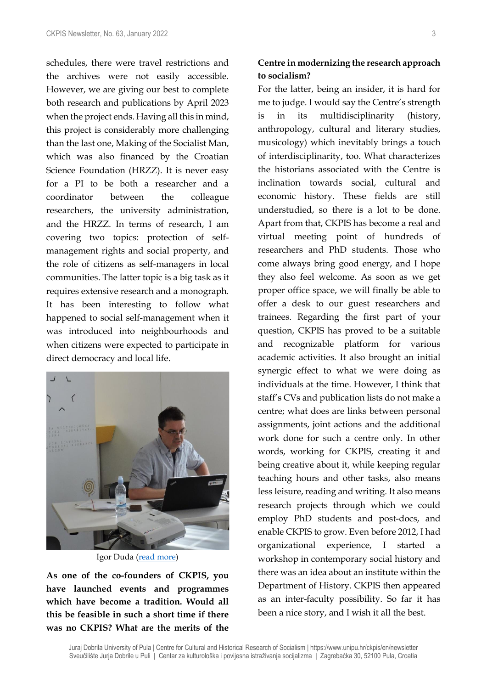schedules, there were travel restrictions and the archives were not easily accessible. However, we are giving our best to complete both research and publications by April 2023 when the project ends. Having all this in mind, this project is considerably more challenging than the last one, Making of the Socialist Man, which was also financed by the Croatian Science Foundation (HRZZ). It is never easy for a PI to be both a researcher and a coordinator between the colleague researchers, the university administration, and the HRZZ. In terms of research, I am covering two topics: protection of selfmanagement rights and social property, and the role of citizens as self-managers in local communities. The latter topic is a big task as it requires extensive research and a monograph. It has been interesting to follow what happened to social self-management when it was introduced into neighbourhoods and when citizens were expected to participate in direct democracy and local life.



Igor Duda [\(read more\)](https://ffpu.unipu.hr/ffpu/en/igor.duda)

**As one of the co-founders of CKPIS, you have launched events and programmes which have become a tradition. Would all this be feasible in such a short time if there was no CKPIS? What are the merits of the** 

#### **Centre in modernizing the research approach to socialism?**

For the latter, being an insider, it is hard for me to judge. I would say the Centre's strength is in its multidisciplinarity (history, anthropology, cultural and literary studies, musicology) which inevitably brings a touch of interdisciplinarity, too. What characterizes the historians associated with the Centre is inclination towards social, cultural and economic history. These fields are still understudied, so there is a lot to be done. Apart from that, CKPIS has become a real and virtual meeting point of hundreds of researchers and PhD students. Those who come always bring good energy, and I hope they also feel welcome. As soon as we get proper office space, we will finally be able to offer a desk to our guest researchers and trainees. Regarding the first part of your question, CKPIS has proved to be a suitable and recognizable platform for various academic activities. It also brought an initial synergic effect to what we were doing as individuals at the time. However, I think that staff's CVs and publication lists do not make a centre; what does are links between personal assignments, joint actions and the additional work done for such a centre only. In other words, working for CKPIS, creating it and being creative about it, while keeping regular teaching hours and other tasks, also means less leisure, reading and writing. It also means research projects through which we could employ PhD students and post-docs, and enable CKPIS to grow. Even before 2012, I had organizational experience, I started a workshop in contemporary social history and there was an idea about an institute within the Department of History. CKPIS then appeared as an inter-faculty possibility. So far it has been a nice story, and I wish it all the best.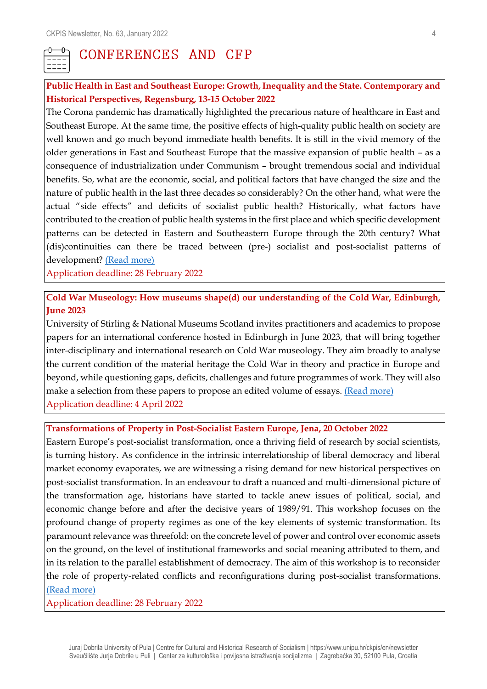

#### CONFERENCES AND CFP

#### **Public Health in East and Southeast Europe: Growth, Inequality and the State. Contemporary and Historical Perspectives, Regensburg, 13-15 October 2022**

The Corona pandemic has dramatically highlighted the precarious nature of healthcare in East and Southeast Europe. At the same time, the positive effects of high-quality public health on society are well known and go much beyond immediate health benefits. It is still in the vivid memory of the older generations in East and Southeast Europe that the massive expansion of public health – as a consequence of industrialization under Communism – brought tremendous social and individual benefits. So, what are the economic, social, and political factors that have changed the size and the nature of public health in the last three decades so considerably? On the other hand, what were the actual "side effects" and deficits of socialist public health? Historically, what factors have contributed to the creation of public health systems in the first place and which specific development patterns can be detected in Eastern and Southeastern Europe through the 20th century? What (dis)continuities can there be traced between (pre-) socialist and post-socialist patterns of development? [\(Read more\)](https://www.ios-regensburg.de/veranstaltungen/jahrestagung.html)

Application deadline: 28 February 2022

#### **Cold War Museology: How museums shape(d) our understanding of the Cold War, Edinburgh, June 2023**

University of Stirling & National Museums Scotland invites practitioners and academics to propose papers for an international conference hosted in Edinburgh in June 2023, that will bring together inter-disciplinary and international research on Cold War museology. They aim broadly to analyse the current condition of the material heritage the Cold War in theory and practice in Europe and beyond, while questioning gaps, deficits, challenges and future programmes of work. They will also make a selection from these papers to propose an edited volume of essays. [\(Read more\)](https://www.hsozkult.de/event/id/event-115238) Application deadline: 4 April 2022

#### **Transformations of Property in Post-Socialist Eastern Europe, Jena, 20 October 2022**

Eastern Europe's post-socialist transformation, once a thriving field of research by social scientists, is turning history. As confidence in the intrinsic interrelationship of liberal democracy and liberal market economy evaporates, we are witnessing a rising demand for new historical perspectives on post-socialist transformation. In an endeavour to draft a nuanced and multi-dimensional picture of the transformation age, historians have started to tackle anew issues of political, social, and economic change before and after the decisive years of 1989/91. This workshop focuses on the profound change of property regimes as one of the key elements of systemic transformation. Its paramount relevance was threefold: on the concrete level of power and control over economic assets on the ground, on the level of institutional frameworks and social meaning attributed to them, and in its relation to the parallel establishment of democracy. The aim of this workshop is to reconsider the role of property-related conflicts and reconfigurations during post-socialist transformations. [\(Read more\)](https://sfb294-eigentum.de/en/news/call-papers/)

Application deadline: 28 February 2022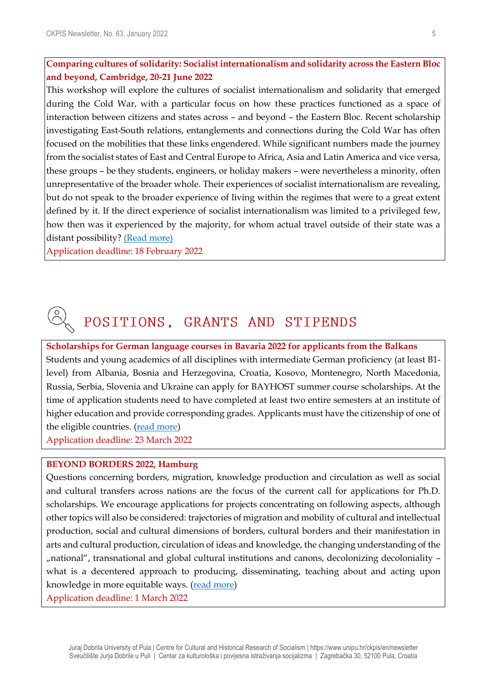#### **Comparing cultures of solidarity: Socialist internationalism and solidarity across the Eastern Bloc and beyond, Cambridge, 20-21 June 2022**

This workshop will explore the cultures of socialist internationalism and solidarity that emerged during the Cold War, with a particular focus on how these practices functioned as a space of interaction between citizens and states across – and beyond – the Eastern Bloc. Recent scholarship investigating East-South relations, entanglements and connections during the Cold War has often focused on the mobilities that these links engendered. While significant numbers made the journey from the socialist states of East and Central Europe to Africa, Asia and Latin America and vice versa, these groups – be they students, engineers, or holiday makers – were nevertheless a minority, often unrepresentative of the broader whole. Their experiences of socialist internationalism are revealing, but do not speak to the broader experience of living within the regimes that were to a great extent defined by it. If the direct experience of socialist internationalism was limited to a privileged few, how then was it experienced by the majority, for whom actual travel outside of their state was a distant possibility? [\(Read more\)](https://www.crassh.cam.ac.uk/events/32109/#call-for-papers)

Application deadline: 18 February 2022

## POSITIONS, GRANTS AND STIPENDS

**Scholarships for German language courses in Bavaria 2022 for applicants from the Balkans** Students and young academics of all disciplines with intermediate German proficiency (at least B1 level) from Albania, Bosnia and Herzegovina, Croatia, Kosovo, Montenegro, North Macedonia, Russia, Serbia, Slovenia and Ukraine can apply for BAYHOST summer course scholarships. At the time of application students need to have completed at least two entire semesters at an institute of higher education and provide corresponding grades. Applicants must have the citizenship of one of the eligible countries. [\(read more\)](https://www.uni-regensburg.de/bayhost/english-1/bayhost/english/scholarships/language-courses-in-bavaria/index.html) Application deadline: 23 March 2022

#### **BEYOND BORDERS 2022, Hamburg**

Questions concerning borders, migration, knowledge production and circulation as well as social and cultural transfers across nations are the focus of the current call for applications for Ph.D. scholarships. We encourage applications for projects concentrating on following aspects, although other topics will also be considered: trajectories of migration and mobility of cultural and intellectual production, social and cultural dimensions of borders, cultural borders and their manifestation in arts and cultural production, circulation of ideas and knowledge, the changing understanding of the "national", transnational and global cultural institutions and canons, decolonizing decoloniality – what is a decentered approach to producing, disseminating, teaching about and acting upon knowledge in more equitable ways. [\(read more\)](https://beyondborders.zeit-stiftung.de/)

Application deadline: 1 March 2022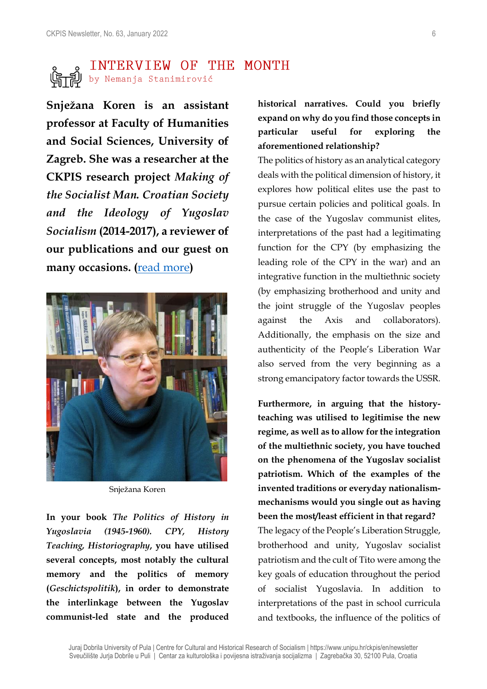# **SECUTE SET ANTERVIEW OF THE MONTH**<br>Similar Stanimirović

**Snježana Koren is an assistant professor at Faculty of Humanities and Social Sciences, University of Zagreb. She was a researcher at the CKPIS research project** *Making of the Socialist Man. Croatian Society and the Ideology of Yugoslav Socialism* **(2014-2017), a reviewer of our publications and our guest on many occasions. (**[read more](http://www.ffzg.unizg.hr/pov/pov2/biografija.php?id=17)**)**



Snježana Koren

**In your book** *The Politics of History in Yugoslavia (1945-1960). CPY, History Teaching, Historiography***, you have utilised several concepts, most notably the cultural memory and the politics of memory (***Geschictspolitik***), in order to demonstrate the interlinkage between the Yugoslav communist-led state and the produced**  **historical narratives. Could you briefly expand on why do you find those concepts in particular useful for exploring the aforementioned relationship?**

The politics of history as an analytical category deals with the political dimension of history, it explores how political elites use the past to pursue certain policies and political goals. In the case of the Yugoslav communist elites, interpretations of the past had a legitimating function for the CPY (by emphasizing the leading role of the CPY in the war) and an integrative function in the multiethnic society (by emphasizing brotherhood and unity and the joint struggle of the Yugoslav peoples against the Axis and collaborators). Additionally, the emphasis on the size and authenticity of the People's Liberation War also served from the very beginning as a strong emancipatory factor towards the USSR.

**Furthermore, in arguing that the historyteaching was utilised to legitimise the new regime, as well as to allow for the integration of the multiethnic society, you have touched on the phenomena of the Yugoslav socialist patriotism. Which of the examples of the invented traditions or everyday nationalismmechanisms would you single out as having been the most/least efficient in that regard?** The legacy of the People's Liberation Struggle, brotherhood and unity, Yugoslav socialist patriotism and the cult of Tito were among the key goals of education throughout the period of socialist Yugoslavia. In addition to interpretations of the past in school curricula and textbooks, the influence of the politics of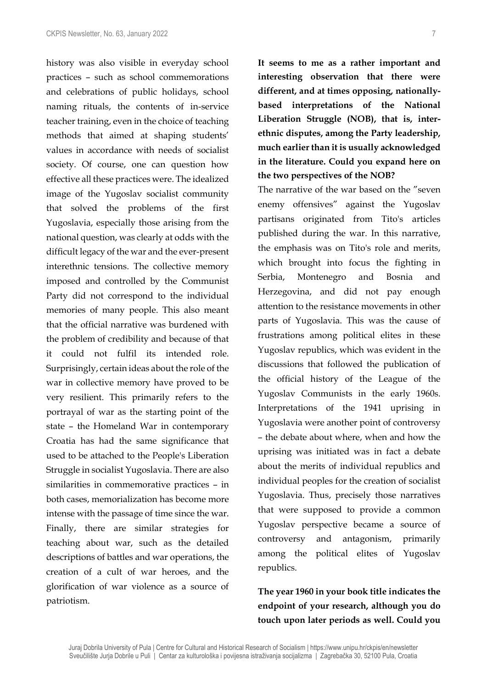history was also visible in everyday school practices – such as school commemorations and celebrations of public holidays, school naming rituals, the contents of in-service teacher training, even in the choice of teaching methods that aimed at shaping students' values in accordance with needs of socialist society. Of course, one can question how effective all these practices were. The idealized image of the Yugoslav socialist community that solved the problems of the first Yugoslavia, especially those arising from the national question, was clearly at odds with the difficult legacy of the war and the ever-present interethnic tensions. The collective memory imposed and controlled by the Communist Party did not correspond to the individual memories of many people. This also meant that the official narrative was burdened with the problem of credibility and because of that it could not fulfil its intended role. Surprisingly, certain ideas about the role of the war in collective memory have proved to be very resilient. This primarily refers to the portrayal of war as the starting point of the state – the Homeland War in contemporary Croatia has had the same significance that used to be attached to the People's Liberation Struggle in socialist Yugoslavia. There are also similarities in commemorative practices – in both cases, memorialization has become more intense with the passage of time since the war. Finally, there are similar strategies for teaching about war, such as the detailed descriptions of battles and war operations, the creation of a cult of war heroes, and the glorification of war violence as a source of patriotism.

**It seems to me as a rather important and interesting observation that there were different, and at times opposing, nationallybased interpretations of the National Liberation Struggle (NOB), that is, interethnic disputes, among the Party leadership, much earlier than it is usually acknowledged in the literature. Could you expand here on the two perspectives of the NOB?**

The narrative of the war based on the "seven enemy offensives" against the Yugoslav partisans originated from Tito's articles published during the war. In this narrative, the emphasis was on Tito's role and merits, which brought into focus the fighting in Serbia, Montenegro and Bosnia and Herzegovina, and did not pay enough attention to the resistance movements in other parts of Yugoslavia. This was the cause of frustrations among political elites in these Yugoslav republics, which was evident in the discussions that followed the publication of the official history of the League of the Yugoslav Communists in the early 1960s. Interpretations of the 1941 uprising in Yugoslavia were another point of controversy – the debate about where, when and how the uprising was initiated was in fact a debate about the merits of individual republics and individual peoples for the creation of socialist Yugoslavia. Thus, precisely those narratives that were supposed to provide a common Yugoslav perspective became a source of controversy and antagonism, primarily among the political elites of Yugoslav republics.

**The year 1960 in your book title indicates the endpoint of your research, although you do touch upon later periods as well. Could you**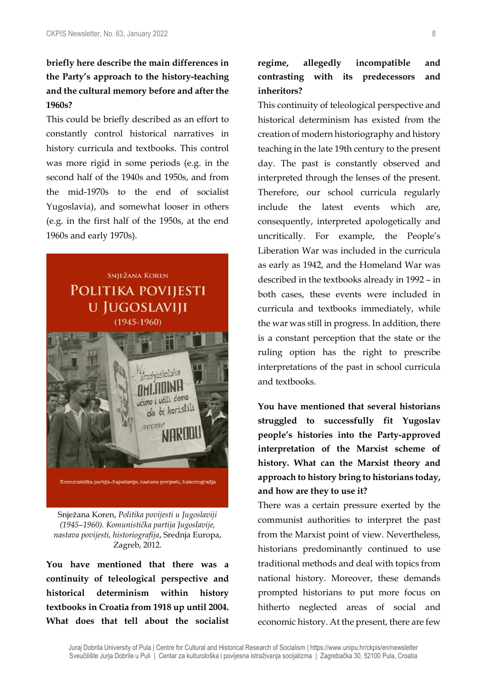#### **briefly here describe the main differences in the Party's approach to the history-teaching and the cultural memory before and after the 1960s?**

This could be briefly described as an effort to constantly control historical narratives in history curricula and textbooks. This control was more rigid in some periods (e.g. in the second half of the 1940s and 1950s, and from the mid-1970s to the end of socialist Yugoslavia), and somewhat looser in others (e.g. in the first half of the 1950s, at the end 1960s and early 1970s).



Snježana Koren, *Politika povijesti u Jugoslaviji (1945–1960). Komunistička partija Jugoslavije, nastava povijesti, historiografija*, Srednja Europa, Zagreb, 2012.

**You have mentioned that there was a continuity of teleological perspective and historical determinism within history textbooks in Croatia from 1918 up until 2004. What does that tell about the socialist** 

#### **regime, allegedly incompatible and contrasting with its predecessors and inheritors?**

This continuity of teleological perspective and historical determinism has existed from the creation of modern historiography and history teaching in the late 19th century to the present day. The past is constantly observed and interpreted through the lenses of the present. Therefore, our school curricula regularly include the latest events which are, consequently, interpreted apologetically and uncritically. For example, the People's Liberation War was included in the curricula as early as 1942, and the Homeland War was described in the textbooks already in 1992 – in both cases, these events were included in curricula and textbooks immediately, while the war was still in progress. In addition, there is a constant perception that the state or the ruling option has the right to prescribe interpretations of the past in school curricula and textbooks.

**You have mentioned that several historians struggled to successfully fit Yugoslav people's histories into the Party-approved interpretation of the Marxist scheme of history. What can the Marxist theory and approach to history bring to historians today, and how are they to use it?**

There was a certain pressure exerted by the communist authorities to interpret the past from the Marxist point of view. Nevertheless, historians predominantly continued to use traditional methods and deal with topics from national history. Moreover, these demands prompted historians to put more focus on hitherto neglected areas of social and economic history. At the present, there are few